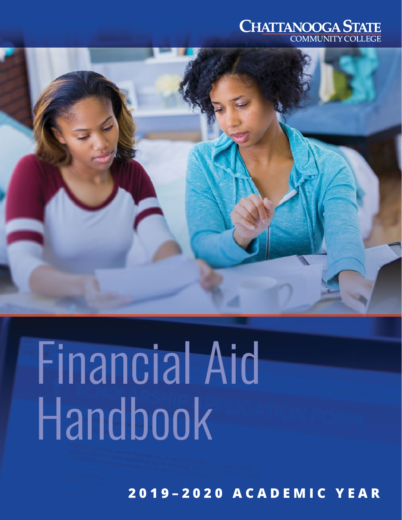



# Financial Aid Handbook

**2019–2020 ACADEMIC YEAR**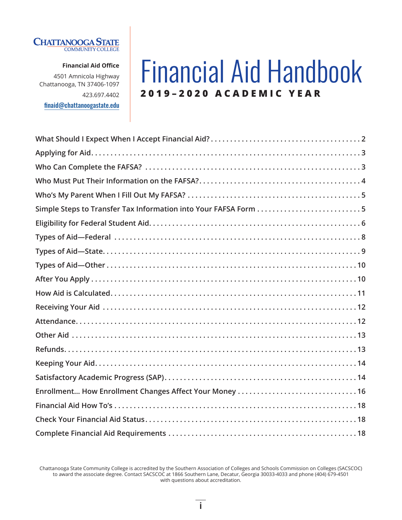

**Financial Aid Office**

4501 Amnicola Highway Chattanooga, TN 37406-1097 423.697.4402

[finaid@chattanoogastate.edu](mailto:finaid%40chattanoogastate.edu?subject=)

## Financial Aid Handbook **2019–2020 ACADEMIC YEAR**

| Simple Steps to Transfer Tax Information into Your FAFSA Form 5 |
|-----------------------------------------------------------------|
|                                                                 |
|                                                                 |
|                                                                 |
|                                                                 |
|                                                                 |
|                                                                 |
|                                                                 |
|                                                                 |
|                                                                 |
|                                                                 |
|                                                                 |
|                                                                 |
| Enrollment How Enrollment Changes Affect Your Money  16         |
|                                                                 |
|                                                                 |
|                                                                 |

Chattanooga State Community College is accredited by the Southern Association of Colleges and Schools Commission on Colleges (SACSCOC) to award the associate degree. Contact SACSCOC at 1866 Southern Lane, Decatur, Georgia 30033-4033 and phone (404) 679-4501 with questions about accreditation.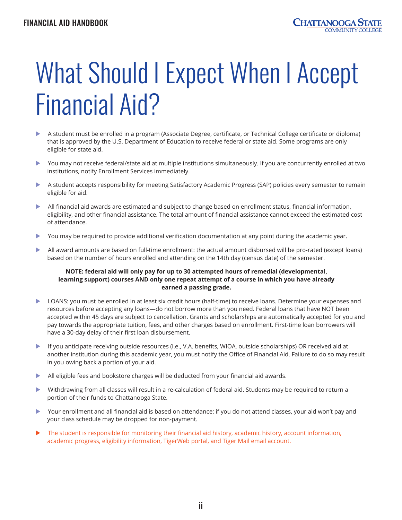## <span id="page-2-0"></span>What Should I Expect When I Accept Financial Aid?

- A student must be enrolled in a program (Associate Degree, certificate, or Technical College certificate or diploma) that is approved by the U.S. Department of Education to receive federal or state aid. Some programs are only eligible for state aid.
- $\triangleright$  You may not receive federal/state aid at multiple institutions simultaneously. If you are concurrently enrolled at two institutions, notify Enrollment Services immediately.
- **X A student accepts responsibility for meeting Satisfactory Academic Progress (SAP) policies every semester to remain** eligible for aid.
- $\blacktriangleright$  All financial aid awards are estimated and subject to change based on enrollment status, financial information, eligibility, and other financial assistance. The total amount of financial assistance cannot exceed the estimated cost of attendance.
- $\triangleright$  You may be required to provide additional verification documentation at any point during the academic year.
- All award amounts are based on full-time enrollment: the actual amount disbursed will be pro-rated (except loans) based on the number of hours enrolled and attending on the 14th day (census date) of the semester.

#### **NOTE: federal aid will only pay for up to 30 attempted hours of remedial (developmental, learning support) courses AND only one repeat attempt of a course in which you have already earned a passing grade.**

- $\triangleright$  LOANS: you must be enrolled in at least six credit hours (half-time) to receive loans. Determine your expenses and resources before accepting any loans—do not borrow more than you need. Federal loans that have NOT been accepted within 45 days are subject to cancellation. Grants and scholarships are automatically accepted for you and pay towards the appropriate tuition, fees, and other charges based on enrollment. First-time loan borrowers will have a 30-day delay of their first loan disbursement.
- ▶ If you anticipate receiving outside resources (i.e., V.A. benefits, WIOA, outside scholarships) OR received aid at another institution during this academic year, you must notify the Office of Financial Aid. Failure to do so may result in you owing back a portion of your aid.
- All eligible fees and bookstore charges will be deducted from your financial aid awards.
- Withdrawing from all classes will result in a re-calculation of federal aid. Students may be required to return a portion of their funds to Chattanooga State.
- Your enrollment and all financial aid is based on attendance: if you do not attend classes, your aid won't pay and your class schedule may be dropped for non-payment.
- The student is responsible for monitoring their financial aid history, academic history, account information, academic progress, eligibility information, TigerWeb portal, and Tiger Mail email account.

ii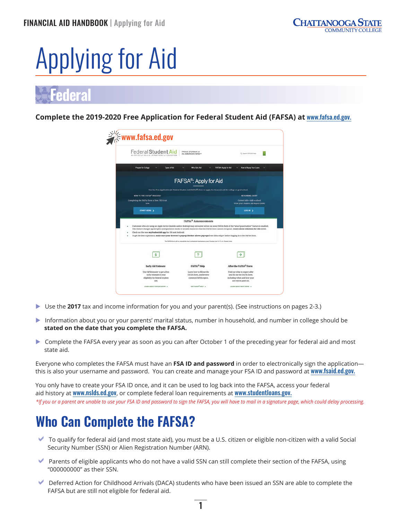## <span id="page-3-0"></span>Applying for Aid

## **Federal**

**Complete the 2019-2020 Free Application for Federal Student Aid (FAFSA) at** [www.fafsa.ed.gov](http://www.fafsa.ed.gov).

| Federal Student Ai                                                                                                                        | PROUD SPONSOR of<br>the AMERICAN MIND®                                                                                | Q. Search FAP SAS Help                                                                                                                                                                                                                                                                                             |
|-------------------------------------------------------------------------------------------------------------------------------------------|-----------------------------------------------------------------------------------------------------------------------|--------------------------------------------------------------------------------------------------------------------------------------------------------------------------------------------------------------------------------------------------------------------------------------------------------------------|
|                                                                                                                                           |                                                                                                                       |                                                                                                                                                                                                                                                                                                                    |
| Prepare for College<br>Types of Aid                                                                                                       | Who Gets Aid                                                                                                          | FAFSAH Apply for Aid<br>How to Repay Your Loans                                                                                                                                                                                                                                                                    |
|                                                                                                                                           | FAFSA <sup>®</sup> : Apply for Aid                                                                                    |                                                                                                                                                                                                                                                                                                                    |
|                                                                                                                                           | Use the Free Application for Federal Student Aid (FAFSA®) form to apply for financial aid for college or grad school. |                                                                                                                                                                                                                                                                                                                    |
| NEW TO THE FAFSA* PROCESS?                                                                                                                |                                                                                                                       | RETURNING USER?                                                                                                                                                                                                                                                                                                    |
| Completing the TAFSA form is free. Fill it out<br>now                                                                                     |                                                                                                                       | Correct info . Add a school<br>View your Student Aid Report (SAR)                                                                                                                                                                                                                                                  |
| START HERE >                                                                                                                              |                                                                                                                       | LOG IN >                                                                                                                                                                                                                                                                                                           |
|                                                                                                                                           | <b>FAFSA®</b> Announcements                                                                                           |                                                                                                                                                                                                                                                                                                                    |
|                                                                                                                                           |                                                                                                                       | Customers who are using an Apple device (mobile and/or desktop) may encounter errors on some FAFSA fields if the "smart punctuation" feature is enabled.<br>This feature changes apostrophes and quotation marks to invalid characters that the TAFSA form cannot recognize. Learn about solutions for this error. |
| Check out the new myStudentAid app for iOS and Android.                                                                                   |                                                                                                                       |                                                                                                                                                                                                                                                                                                                    |
| To get the best experience, make sure your heowser's pop-up blocker allows pop-ups from fafsa.ed.gov before logging in to the FAFSA form. |                                                                                                                       |                                                                                                                                                                                                                                                                                                                    |
|                                                                                                                                           | The FAFSA form will be unavailable due to scheduled maintenance every Sunday from 3-11 a.m. Eastern lime.             |                                                                                                                                                                                                                                                                                                                    |
| \$.                                                                                                                                       |                                                                                                                       |                                                                                                                                                                                                                                                                                                                    |
|                                                                                                                                           |                                                                                                                       | After the FAFSA® Form                                                                                                                                                                                                                                                                                              |
| <b>Early Aid Estimate</b>                                                                                                                 | FAFSA <sup>®</sup> Help                                                                                               |                                                                                                                                                                                                                                                                                                                    |
| Use FAFSA4caster to get a free                                                                                                            | Learn how to fill out the                                                                                             | Find out what to expect after                                                                                                                                                                                                                                                                                      |
|                                                                                                                                           |                                                                                                                       |                                                                                                                                                                                                                                                                                                                    |
| early estimate of your<br>eligibility for federal student.                                                                                | <b>FAFSA</b> form, and browse<br>common EAFSA topics.                                                                 | you fill out the EAFSA form,<br>including when and how your                                                                                                                                                                                                                                                        |

- ▶ Use the **2017** tax and income information for you and your parent(s). (See instructions on pages 2-3.)
- Information about you or your parents' marital status, number in household, and number in college should be **stated on the date that you complete the FAFSA.**
- ▶ Complete the FAFSA every year as soon as you can after October 1 of the preceding year for federal aid and most state aid.

Everyone who completes the FAFSA must have an **FSA ID and password** in order to electronically sign the application this is also your username and password. You can create and manage your FSA ID and password at www.fsaid.ed.gov.

You only have to create your FSA ID once, and it can be used to log back into the FAFSA, access your federal aid history at [www.nslds.ed.gov](http://www.nslds.ed.gov), or complete federal loan requirements at [www.studentloans.gov](http://www.studentloans.gov). *\*If you or a parent are unable to use your FSA ID and password to sign the FAFSA, you will have to mail in a signature page, which could delay processing.*

## **Who Can Complete the FAFSA?**

- $\blacktriangleright$  To qualify for federal aid (and most state aid), you must be a U.S. citizen or eligible non-citizen with a valid Social Security Number (SSN) or Alien Registration Number (ARN).
- ◆ Parents of eligible applicants who do not have a valid SSN can still complete their section of the FAFSA, using "000000000" as their SSN.
- $\blacktriangleright$  Deferred Action for Childhood Arrivals (DACA) students who have been issued an SSN are able to complete the FAFSA but are still not eligible for federal aid.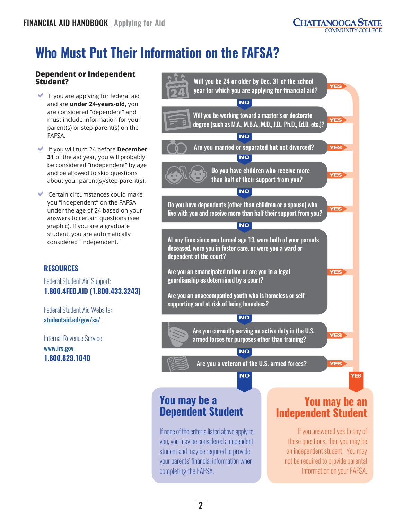## <span id="page-4-0"></span>**Who Must Put Their Information on the FAFSA?**

#### **Dependent or Independent Student?**

- $\blacktriangleright$  If you are applying for federal aid and are **under 24-years-old,** you are considered "dependent" and must include information for your parent(s) or step-parent(s) on the FAFSA.
- DIf you will turn 24 before **December 31** of the aid year, you will probably be considered "independent" by age and be allowed to skip questions about your parent(s)/step-parent(s).
- Certain circumstances could make you "independent" on the FAFSA under the age of 24 based on your answers to certain questions (see graphic). If you are a graduate student, you are automatically considered "independent."

### **RESOURCES**

Federal Student Aid Support: **1.800.4FED.AID (1.800.433.3243)**

Federal Student Aid Website: [studentaid.ed/gov/sa/](http://studentaid.ed/gov/sa/)

Internal Revenue Service: [www.irs.gov](http://www.irs.gov) **1.800.829.1040**



an independent student. You may not be required to provide parental information on your FAFSA.

#### $\mathbf{2}$

completing the FAFSA.

your parents' financial information when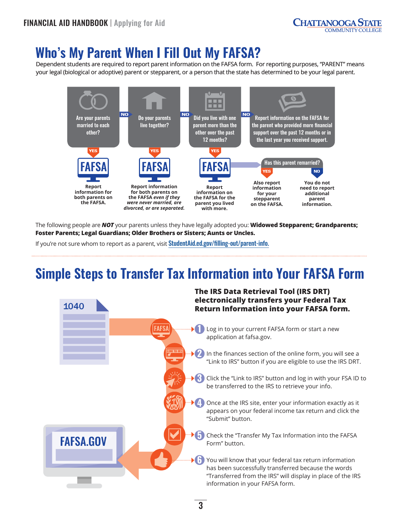## <span id="page-5-0"></span>**Who's My Parent When I Fill Out My FAFSA?**

Dependent students are required to report parent information on the FAFSA form. For reporting purposes, "PARENT" means your legal (biological or adoptive) parent or stepparent, or a person that the state has determined to be your legal parent.



The following people are *NOT* your parents unless they have legally adopted you: **Widowed Stepparent; Grandparents; Foster Parents; Legal Guardians; Older Brothers or Sisters; Aunts or Uncles.**

If you're not sure whom to report as a parent, visit StudentAid.ed.gov/filling-out/parent-info.

## **Simple Steps to Transfer Tax Information into Your FAFSA Form**

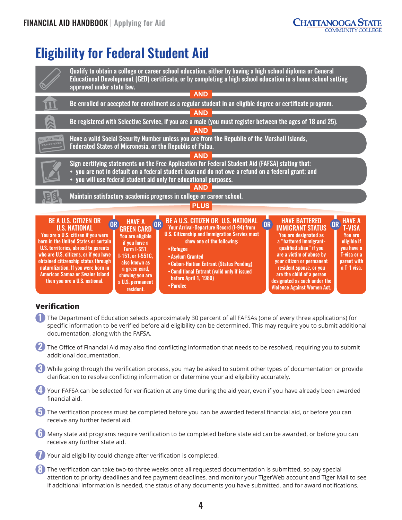

## <span id="page-6-0"></span>**Eligibility for Federal Student Aid**



### **Verification**

- **1** The Department of Education selects approximately 30 percent of all FAFSAs (one of every three applications) for specific information to be verified before aid eligibility can be determined. This may require you to submit additional documentation, along with the FAFSA.
- **2** The Office of Financial Aid may also find conflicting information that needs to be resolved, requiring you to submit additional documentation.
- **3** While going through the verification process, you may be asked to submit other types of documentation or provide clarification to resolve conflicting information or determine your aid eligibility accurately.
- **4** Your FAFSA can be selected for verification at any time during the aid year, even if you have already been awarded financial aid.
- **4** The verification process must be completed before you can be awarded federal financial aid, or before you can receive any further federal aid.
- **6** Many state aid programs require verification to be completed before state aid can be awarded, or before you can receive any further state aid.
	- **7** Your aid eligibility could change after verification is completed.
- **8** The verification can take two-to-three weeks once all requested documentation is submitted, so pay special attention to priority deadlines and fee payment deadlines, and monitor your TigerWeb account and Tiger Mail to see if additional information is needed, the status of any documents you have submitted, and for award notifications.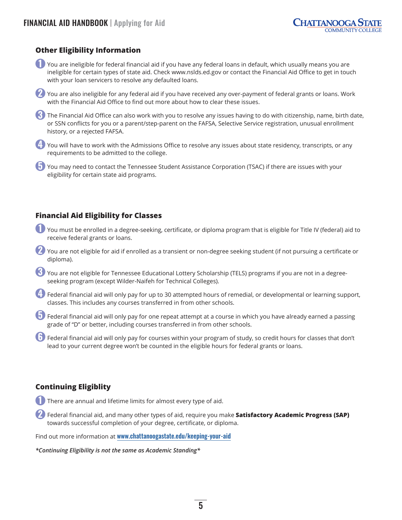#### **Other Eligibility Information**

- **1** You are ineligible for federal financial aid if you have any federal loans in default, which usually means you are ineligible for certain types of state aid. Check [www.nslds.ed.gov](http://www.nslds.ed.gov) or contact the Financial Aid Office to get in touch with your loan servicers to resolve any defaulted loans.
- **2** You are also ineligible for any federal aid if you have received any over-payment of federal grants or loans. Work with the Financial Aid Office to find out more about how to clear these issues.
- **3** The Financial Aid Office can also work with you to resolve any issues having to do with citizenship, name, birth date, or SSN conflicts for you or a parent/step-parent on the FAFSA, Selective Service registration, unusual enrollment history, or a rejected FAFSA.
- **4** You will have to work with the Admissions Office to resolve any issues about state residency, transcripts, or any requirements to be admitted to the college.

**5** You may need to contact the Tennessee Student Assistance Corporation (TSAC) if there are issues with your eligibility for certain state aid programs.

#### **Financial Aid Eligibility for Classes**

- **1** You must be enrolled in a degree-seeking, certificate, or diploma program that is eligible for Title IV (federal) aid to receive federal grants or loans.
- **2** You are not eligible for aid if enrolled as a transient or non-degree seeking student (if not pursuing a certificate or diploma).
- **3** You are not eligible for Tennessee Educational Lottery Scholarship (TELS) programs if you are not in a degreeseeking program (except Wilder-Naifeh for Technical Colleges).
- **4** Federal financial aid will only pay for up to 30 attempted hours of remedial, or developmental or learning support, classes. This includes any courses transferred in from other schools.
- **5** Federal financial aid will only pay for one repeat attempt at a course in which you have already earned a passing grade of "D" or better, including courses transferred in from other schools.
- **6** Federal financial aid will only pay for courses within your program of study, so credit hours for classes that don't lead to your current degree won't be counted in the eligible hours for federal grants or loans.

#### **Continuing Eligiblity**

- **1** There are annual and lifetime limits for almost every type of aid.
- **2** Federal financial aid, and many other types of aid, require you make **Satisfactory Academic Progress (SAP)** towards successful completion of your degree, certificate, or diploma.

Find out more information at [www.chattanoogastate.edu/keeping-your-aid](http://www.chattanoogastate.edu/keeping-your-aid)

*\*Continuing Eligibility is not the same as Academic Standing\**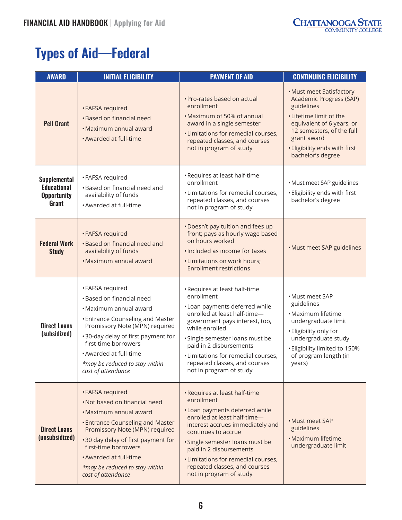## <span id="page-8-0"></span>**Types of Aid—Federal**

| <b>AWARD</b>                                                             | <b>INITIAL ELIGIBILITY</b>                                                                                                                                                                                                                                                                               | <b>PAYMENT OF AID</b>                                                                                                                                                                                                                                                                                                                     | <b>CONTINUING ELIGIBILITY</b>                                                                                                                                                                                               |
|--------------------------------------------------------------------------|----------------------------------------------------------------------------------------------------------------------------------------------------------------------------------------------------------------------------------------------------------------------------------------------------------|-------------------------------------------------------------------------------------------------------------------------------------------------------------------------------------------------------------------------------------------------------------------------------------------------------------------------------------------|-----------------------------------------------------------------------------------------------------------------------------------------------------------------------------------------------------------------------------|
| <b>Pell Grant</b>                                                        | • FAFSA required<br>• Based on financial need<br>• Maximum annual award<br>• Awarded at full-time                                                                                                                                                                                                        | • Pro-rates based on actual<br>enrollment<br>• Maximum of 50% of annual<br>award in a single semester<br><b>·</b> Limitations for remedial courses,<br>repeated classes, and courses<br>not in program of study                                                                                                                           | . Must meet Satisfactory<br>Academic Progress (SAP)<br>guidelines<br>. Lifetime limit of the<br>equivalent of 6 years, or<br>12 semesters, of the full<br>grant award<br>· Eligibility ends with first<br>bachelor's degree |
| <b>Supplemental</b><br><b>Educational</b><br><b>Opportunity</b><br>Grant | • FAFSA required<br>•Based on financial need and<br>availability of funds<br>• Awarded at full-time                                                                                                                                                                                                      | • Requires at least half-time<br>enrollment<br>• Limitations for remedial courses,<br>repeated classes, and courses<br>not in program of study                                                                                                                                                                                            | · Must meet SAP guidelines<br>· Eligibility ends with first<br>bachelor's degree                                                                                                                                            |
| <b>Federal Work</b><br><b>Study</b>                                      | • FAFSA required<br>· Based on financial need and<br>availability of funds<br>• Maximum annual award                                                                                                                                                                                                     | . Doesn't pay tuition and fees up<br>front; pays as hourly wage based<br>on hours worked<br>. Included as income for taxes<br>• Limitations on work hours;<br><b>Enrollment restrictions</b>                                                                                                                                              | · Must meet SAP guidelines                                                                                                                                                                                                  |
| <b>Direct Loans</b><br>(subsidized)                                      | • FAFSA required<br>• Based on financial need<br>· Maximum annual award<br><b>.</b> Entrance Counseling and Master<br>Promissory Note (MPN) required<br>•30-day delay of first payment for<br>first-time borrowers<br>· Awarded at full-time<br>*may be reduced to stay within<br>cost of attendance     | • Requires at least half-time<br>enrollment<br>• Loan payments deferred while<br>enrolled at least half-time-<br>government pays interest, too,<br>while enrolled<br>· Single semester loans must be<br>paid in 2 disbursements<br>· Limitations for remedial courses,<br>repeated classes, and courses<br>not in program of study        | • Must meet SAP<br>guidelines<br>• Maximum lifetime<br>undergraduate limit<br>· Eligibility only for<br>undergraduate study<br>• Eligibility limited to 150%<br>of program length (in<br>years)                             |
| <b>Direct Loans</b><br>(unsubsidized)                                    | • FAFSA required<br>. Not based on financial need<br>• Maximum annual award<br><b>.</b> Entrance Counseling and Master<br>Promissory Note (MPN) required<br>•30 day delay of first payment for<br>first-time borrowers<br>· Awarded at full-time<br>*may be reduced to stay within<br>cost of attendance | • Requires at least half-time<br>enrollment<br>• Loan payments deferred while<br>enrolled at least half-time-<br>interest accrues immediately and<br>continues to accrue<br>· Single semester loans must be<br>paid in 2 disbursements<br>· Limitations for remedial courses,<br>repeated classes, and courses<br>not in program of study | • Must meet SAP<br>guidelines<br>• Maximum lifetime<br>undergraduate limit                                                                                                                                                  |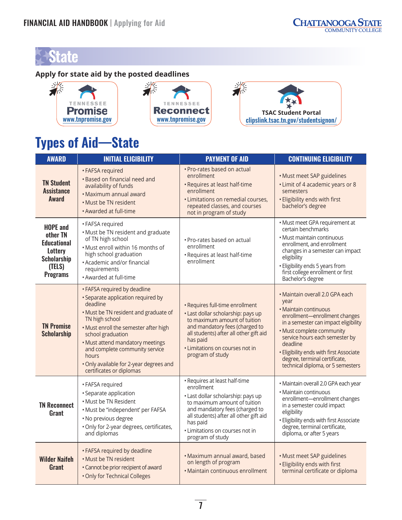## <span id="page-9-0"></span>**State**

### **Apply for state aid by the posted deadlines**



## **Types of Aid—State**

| <b>AWARD</b>                                                                                                           | <b>INITIAL ELIGIBILITY</b>                                                                                                                                                                                                                                                                                                                                    | <b>PAYMENT OF AID</b>                                                                                                                                                                                                                                            | <b>CONTINUING ELIGIBILITY</b>                                                                                                                                                                                                                                                                                                         |
|------------------------------------------------------------------------------------------------------------------------|---------------------------------------------------------------------------------------------------------------------------------------------------------------------------------------------------------------------------------------------------------------------------------------------------------------------------------------------------------------|------------------------------------------------------------------------------------------------------------------------------------------------------------------------------------------------------------------------------------------------------------------|---------------------------------------------------------------------------------------------------------------------------------------------------------------------------------------------------------------------------------------------------------------------------------------------------------------------------------------|
| <b>TN Student</b><br><b>Assistance</b><br>Award                                                                        | • FAFSA required<br>· Based on financial need and<br>availability of funds<br>· Maximum annual award<br>. Must be TN resident<br>• Awarded at full-time                                                                                                                                                                                                       | · Pro-rates based on actual<br>enrollment<br>· Requires at least half-time<br>enrollment<br>· Limitations on remedial courses,<br>repeated classes, and courses<br>not in program of study                                                                       | · Must meet SAP guidelines<br>• Limit of 4 academic years or 8<br>semesters<br>· Eligibility ends with first<br>bachelor's degree                                                                                                                                                                                                     |
| <b>HOPE and</b><br>other TN<br><b>Educational</b><br><b>Lottery</b><br><b>Scholarship</b><br>(TELS)<br><b>Programs</b> | • FAFSA required<br>· Must be TN resident and graduate<br>of TN high school<br>. Must enroll within 16 months of<br>high school graduation<br>• Academic and/or financial<br>requirements<br>• Awarded at full-time                                                                                                                                           | · Pro-rates based on actual<br>enrollment<br>· Requires at least half-time<br>enrollment                                                                                                                                                                         | • Must meet GPA requirement at<br>certain benchmarks<br>• Must maintain continuous<br>enrollment, and enrollment<br>changes in a semester can impact<br>eligibility<br>· Eligibility ends 5 years from<br>first college enrollment or first<br>Bachelor's degree                                                                      |
| <b>TN Promise</b><br><b>Scholarship</b>                                                                                | • FAFSA required by deadline<br>· Separate application required by<br>deadline<br>. Must be TN resident and graduate of<br>TN high school<br>. Must enroll the semester after high<br>school graduation<br>. Must attend mandatory meetings<br>and complete community service<br>hours<br>. Only available for 2-year degrees and<br>certificates or diplomas | • Requires full-time enrollment<br>· Last dollar scholarship: pays up<br>to maximum amount of tuition<br>and mandatory fees (charged to<br>all students) after all other gift aid<br>has paid<br>· Limitations on courses not in<br>program of study             | • Maintain overall 2.0 GPA each<br>year<br>• Maintain continuous<br>enrollment-enrollment changes<br>in a semester can impact eligibility<br>· Must complete community<br>service hours each semester by<br>deadline<br>· Eligibility ends with first Associate<br>degree, terminal certificate,<br>technical diploma, or 5 semesters |
| <b>TN Reconnect</b><br>Grant                                                                                           | • FAFSA required<br>· Separate application<br>• Must be TN Resident<br>· Must be "independent' per FAFSA<br>· No previous degree<br>· Only for 2-year degrees, certificates,<br>and diplomas                                                                                                                                                                  | • Requires at least half-time<br>enrollment<br>· Last dollar scholarship: pays up<br>to maximum amount of tuition<br>and mandatory fees (charged to<br>all students) after all other gift aid<br>has paid<br>· Limitations on courses not in<br>program of study | · Maintain overall 2.0 GPA each year<br>• Maintain continuous<br>enrollment-enrollment changes<br>in a semester could impact<br>eligibility<br>· Eligibility ends with first Associate<br>degree, terminal certificate,<br>diploma, or after 5 years                                                                                  |
| <b>Wilder Naifeh</b><br><b>Grant</b>                                                                                   | • FAFSA required by deadline<br>. Must be TN resident<br>· Cannot be prior recipient of award<br>. Only for Technical Colleges                                                                                                                                                                                                                                | · Maximum annual award, based<br>on length of program<br>· Maintain continuous enrollment                                                                                                                                                                        | · Must meet SAP guidelines<br>· Eligibility ends with first<br>terminal certificate or diploma                                                                                                                                                                                                                                        |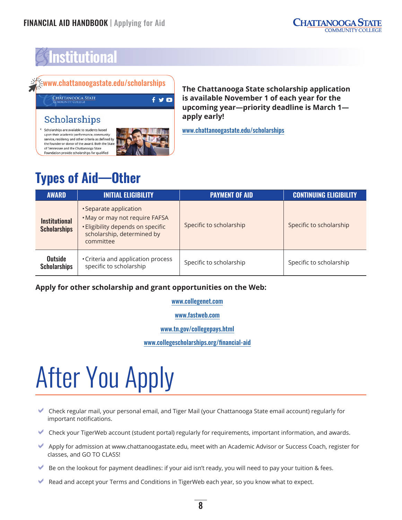## <span id="page-10-0"></span>**Institutional**

## [www.chattanoogastate.edu/scholarships](http://www.chattanoogastate.edu/scholarships)

CHATTANOOGA STATE

### Scholarships

< Scholarships are available to students based upon their academic performance, community service, residency and other criteria as defined by the founder or donor of the award. Both the State of Tennessee and the Chattanooga State Foundation provide scholarships for qualifie



 $f \times Q$ 

**The Chattanooga State scholarship application is available November 1 of each year for the upcoming year—priority deadline is March 1 apply early!**

[www.chattanoogastate.edu/scholarships](http://www.chattanoogastate.edu/scholarships)

## **Types of Aid—Other**

| <b>AWARD</b>                                | <b>INITIAL ELIGIBILITY</b>                                                                                                               | <b>PAYMENT OF AID</b>   | <b>CONTINUING ELIGIBILITY</b> |
|---------------------------------------------|------------------------------------------------------------------------------------------------------------------------------------------|-------------------------|-------------------------------|
| <b>Institutional</b><br><b>Scholarships</b> | • Separate application<br>. May or may not require FAFSA<br>· Eligibility depends on specific<br>scholarship, determined by<br>committee | Specific to scholarship | Specific to scholarship       |
| <b>Outside</b><br><b>Scholarships</b>       | • Criteria and application process<br>specific to scholarship                                                                            | Specific to scholarship | Specific to scholarship       |

### **Apply for other scholarship and grant opportunities on the Web:**

[www.collegenet.com](http://www.collegenet.com)

[www.fastweb.com](http://www.fastweb.com)

[www.tn.gov/collegepays.html](http://www.tn.gov/collegepays.html)

[www.collegescholarships.org/financial-aid](http://www.collegescholarships.org/financial-aid/)

## After You Apply

- DCheck regular mail, your personal email, and Tiger Mail (your Chattanooga State email account) regularly for important notifications.
- DCheck your TigerWeb account (student portal) regularly for requirements, important information, and awards.
- Apply for admission at [www.chattanoogastate.edu,](http://www.chattanoogastate.edu) meet with an Academic Advisor or Success Coach, register for classes, and GO TO CLASS!
- $\blacktriangleright$  Be on the lookout for payment deadlines: if your aid isn't ready, you will need to pay your tuition & fees.
- $\blacktriangleright$  Read and accept your Terms and Conditions in TigerWeb each year, so you know what to expect.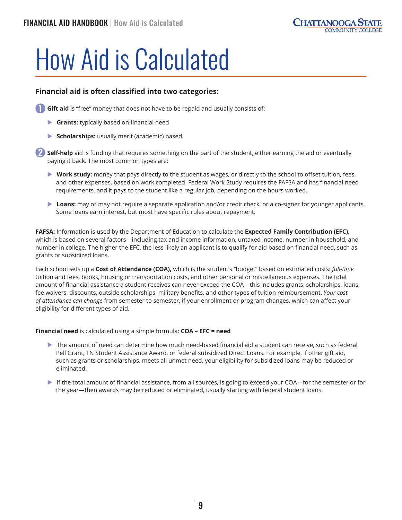## <span id="page-11-0"></span>How Aid is Calculated

#### **Financial aid is often classified into two categories:**

**Gift aid** is "free" money that does not have to be repaid and usually consists of:

- **Grants:** typically based on financial need
- **Scholarships:** usually merit (academic) based

**Self-help** aid is funding that requires something on the part of the student, either earning the aid or eventually paying it back. The most common types are:

- ▶ Work study: money that pays directly to the student as wages, or directly to the school to offset tuition, fees, and other expenses, based on work completed. Federal Work Study requires the FAFSA and has financial need requirements, and it pays to the student like a regular job, depending on the hours worked.
- **Loans:** may or may not require a separate application and/or credit check, or a co-signer for younger applicants. Some loans earn interest, but most have specific rules about repayment.

**FAFSA:** Information is used by the Department of Education to calculate the **Expected Family Contribution (EFC),** which is based on several factors—including tax and income information, untaxed income, number in household, and number in college. The higher the EFC, the less likely an applicant is to qualify for aid based on financial need, such as grants or subsidized loans.

Each school sets up a **Cost of Attendance (COA),** which is the student's "budget" based on estimated costs: *full-time* tuition and fees, books, housing or transportation costs, and other personal or miscellaneous expenses. The total amount of financial assistance a student receives can never exceed the COA—this includes grants, scholarships, loans, fee waivers, discounts, outside scholarships, military benefits, and other types of tuition reimbursement. *Your cost of attendance can change* from semester to semester, if your enrollment or program changes, which can affect your eligibility for different types of aid.

**Financial need** is calculated using a simple formula: **COA – EFC = need**

- $\triangleright$  The amount of need can determine how much need-based financial aid a student can receive, such as federal Pell Grant, TN Student Assistance Award, or federal subsidized Direct Loans. For example, if other gift aid, such as grants or scholarships, meets all unmet need, your eligibility for subsidized loans may be reduced or eliminated.
- ▶ If the total amount of financial assistance, from all sources, is going to exceed your COA—for the semester or for the year—then awards may be reduced or eliminated, usually starting with federal student loans.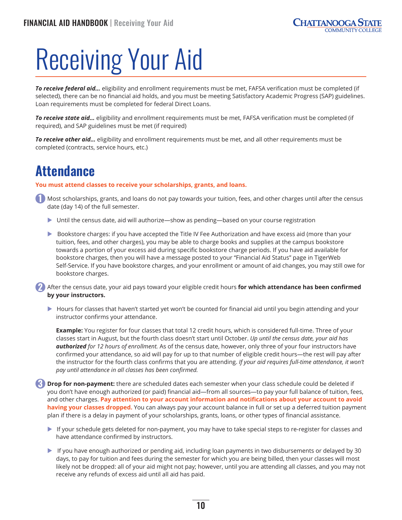## <span id="page-12-0"></span>Receiving Your Aid

*To receive federal aid…* eligibility and enrollment requirements must be met, FAFSA verification must be completed (if selected), there can be no financial aid holds, and you must be meeting Satisfactory Academic Progress (SAP) guidelines. Loan requirements must be completed for federal Direct Loans.

*To receive state aid…* eligibility and enrollment requirements must be met, FAFSA verification must be completed (if required), and SAP guidelines must be met (if required)

*To receive other aid…* eligibility and enrollment requirements must be met, and all other requirements must be completed (contracts, service hours, etc.)

## **Attendance**

**You must attend classes to receive your scholarships, grants, and loans.**

**1** Most scholarships, grants, and loans do not pay towards your tuition, fees, and other charges until after the census date (day 14) of the full semester.

- ▶ Until the census date, aid will authorize—show as pending—based on your course registration
- ▶ Bookstore charges: if you have accepted the Title IV Fee Authorization and have excess aid (more than your tuition, fees, and other charges), you may be able to charge books and supplies at the campus bookstore towards a portion of your excess aid during specific bookstore charge periods. If you have aid available for bookstore charges, then you will have a message posted to your "Financial Aid Status" page in TigerWeb Self-Service. If you have bookstore charges, and your enrollment or amount of aid changes, you may still owe for bookstore charges.

**2** After the census date, your aid pays toward your eligible credit hours **for which attendance has been confirmed by your instructors.**

 $\blacktriangleright$  Hours for classes that haven't started yet won't be counted for financial aid until you begin attending and your instructor confirms your attendance.

**Example:** You register for four classes that total 12 credit hours, which is considered full-time. Three of your classes start in August, but the fourth class doesn't start until October. *Up until the census date, your aid has authorized for 12 hours of enrollment.* As of the census date, however, only three of your four instructors have confirmed your attendance, so aid will pay for up to that number of eligible credit hours—the rest will pay after the instructor for the fourth class confirms that you are attending. *If your aid requires full-time attendance, it won't pay until attendance in all classes has been confirmed.*

**3 Drop for non-payment:** there are scheduled dates each semester when your class schedule could be deleted if you don't have enough authorized (or paid) financial aid—from all sources—to pay your full balance of tuition, fees, and other charges. **Pay attention to your account information and notifications about your account to avoid having your classes dropped.** You can always pay your account balance in full or set up a deferred tuition payment plan if there is a delay in payment of your scholarships, grants, loans, or other types of financial assistance.

- If your schedule gets deleted for non-payment, you may have to take special steps to re-register for classes and have attendance confirmed by instructors.
- $\blacktriangleright$  If you have enough authorized or pending aid, including loan payments in two disbursements or delayed by 30 days, to pay for tuition and fees during the semester for which you are being billed, then your classes will most likely not be dropped: all of your aid might not pay; however, until you are attending all classes, and you may not receive any refunds of excess aid until all aid has paid.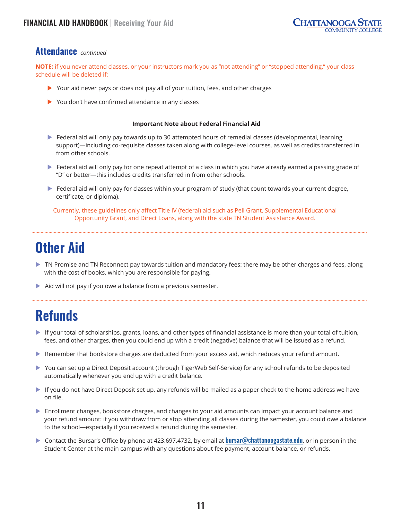### <span id="page-13-0"></span>**Attendance** *continued*

**NOTE:** if you never attend classes, or your instructors mark you as "not attending" or "stopped attending," your class schedule will be deleted if:

- $\triangleright$  Your aid never pays or does not pay all of your tuition, fees, and other charges
- $\triangleright$  You don't have confirmed attendance in any classes

#### **Important Note about Federal Financial Aid**

- $\triangleright$  Federal aid will only pay towards up to 30 attempted hours of remedial classes (developmental, learning support)—including co-requisite classes taken along with college-level courses, as well as credits transferred in from other schools.
- $\blacktriangleright$  Federal aid will only pay for one repeat attempt of a class in which you have already earned a passing grade of "D" or better—this includes credits transferred in from other schools.
- $\blacktriangleright$  Federal aid will only pay for classes within your program of study (that count towards your current degree, certificate, or diploma).

Currently, these guidelines only affect Title IV (federal) aid such as Pell Grant, Supplemental Educational Opportunity Grant, and Direct Loans, along with the state TN Student Assistance Award.

## **Other Aid**

- $\triangleright$  TN Promise and TN Reconnect pay towards tuition and mandatory fees: there may be other charges and fees, along with the cost of books, which you are responsible for paying.
- $\blacktriangleright$  Aid will not pay if you owe a balance from a previous semester.

## **Refunds**

- $\blacktriangleright$  If your total of scholarships, grants, loans, and other types of financial assistance is more than your total of tuition, fees, and other charges, then you could end up with a credit (negative) balance that will be issued as a refund.
- Remember that bookstore charges are deducted from your excess aid, which reduces your refund amount.
- You can set up a Direct Deposit account (through TigerWeb Self-Service) for any school refunds to be deposited automatically whenever you end up with a credit balance.
- $\blacktriangleright$  If you do not have Direct Deposit set up, any refunds will be mailed as a paper check to the home address we have on file.
- **Enrollment changes, bookstore charges, and changes to your aid amounts can impact your account balance and** your refund amount: if you withdraw from or stop attending all classes during the semester, you could owe a balance to the school—especially if you received a refund during the semester.
- ▶ Contact the Bursar's Office by phone at 423.697.4732, by email at **[bursar@chattanoogastate.edu](mailto:bursar%40chattanoogastate.edu?subject=)**, or in person in the Student Center at the main campus with any questions about fee payment, account balance, or refunds.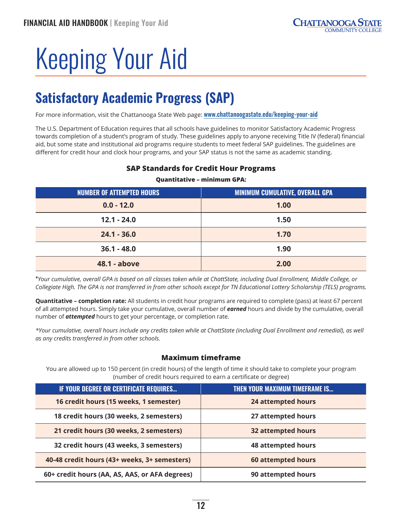## <span id="page-14-0"></span>Keeping Your Aid

## **Satisfactory Academic Progress (SAP)**

For more information, visit the Chattanooga State Web page: [www.chattanoogastate.edu/keeping-your-aid](http://www.chattanoogastate.edu/keeping-your-aid)

The U.S. Department of Education requires that all schools have guidelines to monitor Satisfactory Academic Progress towards completion of a student's program of study. These guidelines apply to anyone receiving Title IV (federal) financial aid, but some state and institutional aid programs require students to meet federal SAP guidelines. The guidelines are different for credit hour and clock hour programs, and your SAP status is not the same as academic standing.

## **Quantitative – minimum GPA: NUMBER OF ATTEMPTED HOURS MINIMUM CUMULATIVE, OVERALL GPA 0.0 - 12.0 1.00 12.1 - 24.0 1.50 24.1 - 36.0 1.70 36.1 - 48.0 1.90 48.1 - above 2.00**

## **SAP Standards for Credit Hour Programs**

\**Your cumulative, overall GPA is based on all classes taken while at ChattState, including Dual Enrollment, Middle College, or Collegiate High. The GPA is not transferred in from other schools except for TN Educational Lottery Scholarship (TELS) programs.*

**Quantitative – completion rate:** All students in credit hour programs are required to complete (pass) at least 67 percent of all attempted hours. Simply take your cumulative, overall number of *earned* hours and divide by the cumulative, overall number of *attempted* hours to get your percentage, or completion rate.

*\*Your cumulative, overall hours include any credits taken while at ChattState (including Dual Enrollment and remedial), as well as any credits transferred in from other schools.*

#### **Maximum timeframe**

You are allowed up to 150 percent (in credit hours) of the length of time it should take to complete your program (number of credit hours required to earn a certificate or degree)

| <b>IF YOUR DEGREE OR CERTIFICATE REQUIRES</b>  | <b>THEN YOUR MAXIMUM TIMEFRAME IS</b> |
|------------------------------------------------|---------------------------------------|
| 16 credit hours (15 weeks, 1 semester)         | <b>24 attempted hours</b>             |
| 18 credit hours (30 weeks, 2 semesters)        | 27 attempted hours                    |
| 21 credit hours (30 weeks, 2 semesters)        | <b>32 attempted hours</b>             |
| 32 credit hours (43 weeks, 3 semesters)        | <b>48 attempted hours</b>             |
| 40-48 credit hours (43+ weeks, 3+ semesters)   | 60 attempted hours                    |
| 60+ credit hours (AA, AS, AAS, or AFA degrees) | 90 attempted hours                    |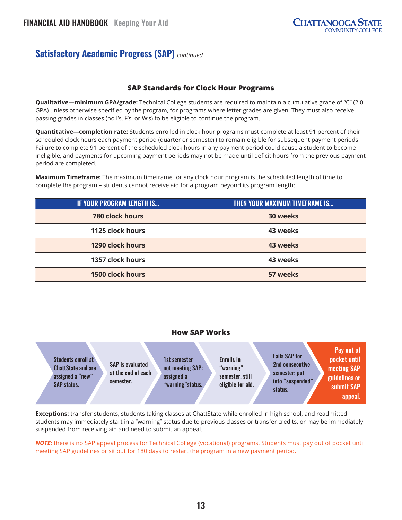## **Satisfactory Academic Progress (SAP)** *continued*

#### **SAP Standards for Clock Hour Programs**

**Qualitative—minimum GPA/grade:** Technical College students are required to maintain a cumulative grade of "C" (2.0 GPA) unless otherwise specified by the program, for programs where letter grades are given. They must also receive passing grades in classes (no I's, F's, or W's) to be eligible to continue the program.

**Quantitative—completion rate:** Students enrolled in clock hour programs must complete at least 91 percent of their scheduled clock hours each payment period (quarter or semester) to remain eligible for subsequent payment periods. Failure to complete 91 percent of the scheduled clock hours in any payment period could cause a student to become ineligible, and payments for upcoming payment periods may not be made until deficit hours from the previous payment period are completed.

**Maximum Timeframe:** The maximum timeframe for any clock hour program is the scheduled length of time to complete the program – students cannot receive aid for a program beyond its program length:

| <b>IF YOUR PROGRAM LENGTH IS</b> | <b>THEN YOUR MAXIMUM TIMEFRAME IS</b> |
|----------------------------------|---------------------------------------|
| <b>780 clock hours</b>           | 30 weeks                              |
| 1125 clock hours                 | 43 weeks                              |
| 1290 clock hours                 | 43 weeks                              |
| 1357 clock hours                 | 43 weeks                              |
| <b>1500 clock hours</b>          | 57 weeks                              |

#### **How SAP Works**

| <b>Students enroll at</b><br><b>ChattState and are</b><br>assigned a "new"<br><b>SAP status.</b> | <b>SAP</b> is evaluated<br>at the end of each<br>semester. | 1st semester<br>not meeting SAP:<br>assigned a<br>"warning" status. | <b>Enrolls in</b><br>"warning"<br>semester, still<br>eligible for aid. | <b>Fails SAP for</b><br>2nd consecutive<br>semester: put<br>into "suspended"<br>status. | Pay out of<br>pocket until<br>meeting SAP<br>guidelines or<br>submit SAP<br>appeal. |
|--------------------------------------------------------------------------------------------------|------------------------------------------------------------|---------------------------------------------------------------------|------------------------------------------------------------------------|-----------------------------------------------------------------------------------------|-------------------------------------------------------------------------------------|
|--------------------------------------------------------------------------------------------------|------------------------------------------------------------|---------------------------------------------------------------------|------------------------------------------------------------------------|-----------------------------------------------------------------------------------------|-------------------------------------------------------------------------------------|

**Exceptions:** transfer students, students taking classes at ChattState while enrolled in high school, and readmitted students may immediately start in a "warning" status due to previous classes or transfer credits, or may be immediately suspended from receiving aid and need to submit an appeal.

*NOTE:* there is no SAP appeal process for Technical College (vocational) programs. Students must pay out of pocket until meeting SAP guidelines or sit out for 180 days to restart the program in a new payment period.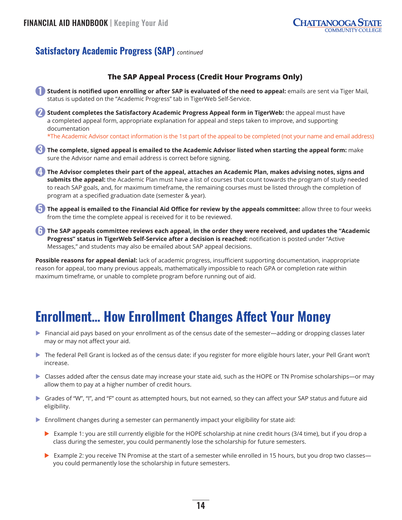## <span id="page-16-0"></span>**Satisfactory Academic Progress (SAP)** *continued*



**Possible reasons for appeal denial:** lack of academic progress, insufficient supporting documentation, inappropriate reason for appeal, too many previous appeals, mathematically impossible to reach GPA or completion rate within maximum timeframe, or unable to complete program before running out of aid.

## **Enrollment… How Enrollment Changes Affect Your Money**

- $\triangleright$  Financial aid pays based on your enrollment as of the census date of the semester—adding or dropping classes later may or may not affect your aid.
- $\triangleright$  The federal Pell Grant is locked as of the census date: if you register for more eligible hours later, your Pell Grant won't increase.
- ▶ Classes added after the census date may increase your state aid, such as the HOPE or TN Promise scholarships—or may allow them to pay at a higher number of credit hours.
- $\triangleright$  Grades of "W", "I", and "F" count as attempted hours, but not earned, so they can affect your SAP status and future aid eligibility.
- $\triangleright$  Enrollment changes during a semester can permanently impact your eligibility for state aid:
	- Example 1: you are still currently eligible for the HOPE scholarship at nine credit hours (3/4 time), but if you drop a class during the semester, you could permanently lose the scholarship for future semesters.
	- Example 2: you receive TN Promise at the start of a semester while enrolled in 15 hours, but you drop two classes you could permanently lose the scholarship in future semesters.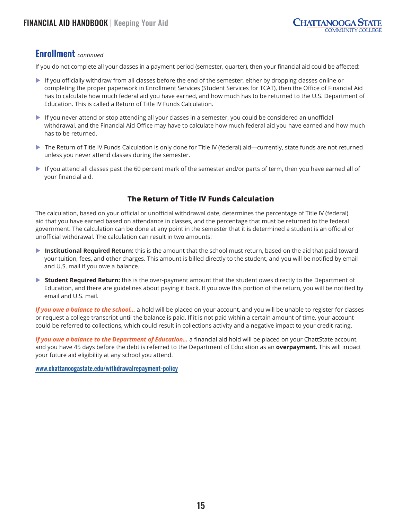### **Enrollment** *continued*

If you do not complete all your classes in a payment period (semester, quarter), then your financial aid could be affected:

- $\blacktriangleright$  If you officially withdraw from all classes before the end of the semester, either by dropping classes online or completing the proper paperwork in Enrollment Services (Student Services for TCAT), then the Office of Financial Aid has to calculate how much federal aid you have earned, and how much has to be returned to the U.S. Department of Education. This is called a Return of Title IV Funds Calculation.
- $\blacktriangleright$  If you never attend or stop attending all your classes in a semester, you could be considered an unofficial withdrawal, and the Financial Aid Office may have to calculate how much federal aid you have earned and how much has to be returned.
- ▶ The Return of Title IV Funds Calculation is only done for Title IV (federal) aid—currently, state funds are not returned unless you never attend classes during the semester.
- $\blacktriangleright$  If you attend all classes past the 60 percent mark of the semester and/or parts of term, then you have earned all of your financial aid.

### **The Return of Title IV Funds Calculation**

The calculation, based on your official or unofficial withdrawal date, determines the percentage of Title IV (federal) aid that you have earned based on attendance in classes, and the percentage that must be returned to the federal government. The calculation can be done at any point in the semester that it is determined a student is an official or unofficial withdrawal. The calculation can result in two amounts:

- **Institutional Required Return:** this is the amount that the school must return, based on the aid that paid toward your tuition, fees, and other charges. This amount is billed directly to the student, and you will be notified by email and U.S. mail if you owe a balance.
- ▶ **Student Required Return:** this is the over-payment amount that the student owes directly to the Department of Education, and there are guidelines about paying it back. If you owe this portion of the return, you will be notified by email and U.S. mail.

*If you owe a balance to the school…* a hold will be placed on your account, and you will be unable to register for classes or request a college transcript until the balance is paid. If it is not paid within a certain amount of time, your account could be referred to collections, which could result in collections activity and a negative impact to your credit rating.

*If you owe a balance to the Department of Education…* a financial aid hold will be placed on your ChattState account, and you have 45 days before the debt is referred to the Department of Education as an **overpayment.** This will impact your future aid eligibility at any school you attend.

[www.chattanoogastate.edu/withdrawalrepayment-policy](http://www.chattanoogastate.edu/withdrawalrepayment-policy)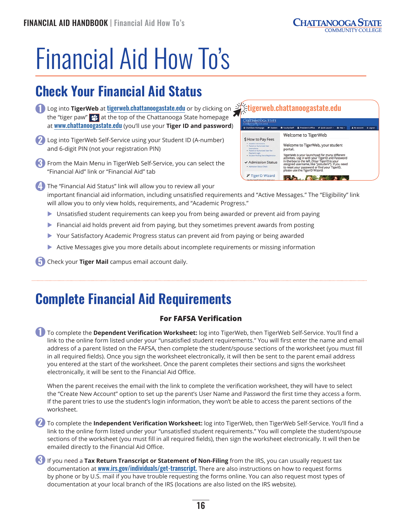## <span id="page-18-0"></span>Financial Aid How To's

## **Check Your Financial Aid Status**

- **1** Log into **TigerWeb** at [tigerweb.chattanoogastate.edu](http://tigerweb.chattanoogastate.edu) or by clicking on the "tiger paw"  $\mathcal{L}$  at the top of the Chattanooga State homepage at [www.chattanoogastate.edu](http://www.chattanoogastate.edu) (you'll use your **Tiger ID and password**)
- **2** Log into TigerWeb Self-Service using your Student ID (A-number) and 6-digit PIN (not your registration PIN)
- **3** From the Main Menu in TigerWeb Self-Service, you can select the "Financial Aid" link or "Financial Aid" tab

**k**[tigerweb.chattanoogastate.edu](http://tigerweb.chattanoogastate.edu) Welcome to TigerWeb \$ How to Pay Fees Welcome to TigerWeb, your student portal. Power to the syder launchpad for many different<br>TigerWeb is your launchpad for many different<br>in the box to the left. (Your TigerID and Password<br>assigned usemanne, like "Jissludent"). If you need<br>to reset your password or ✔ Admission Status assigned username, like "jsstudent"). If<br>to reset your password or find your Tig<br>please use the TigerID Wizard. *A* TigerID Wizard  $\mathbf{A} = \mathbf{A}$ 

- **4** The "Financial Aid Status" link will allow you to review all your important financial aid information, including unsatisfied requirements and "Active Messages." The "Eligibility" link will allow you to only view holds, requirements, and "Academic Progress."
	- $\triangleright$  Unsatisfied student requirements can keep you from being awarded or prevent aid from paying
	- $\triangleright$  Financial aid holds prevent aid from paying, but they sometimes prevent awards from posting
	- Your Satisfactory Academic Progress status can prevent aid from paying or being awarded
	- $\blacktriangleright$  Active Messages give you more details about incomplete requirements or missing information

**5** Check your **Tiger Mail** campus email account daily.

## **Complete Financial Aid Requirements**

### **For FAFSA Verification**

**1** To complete the **Dependent Verification Worksheet:** log into TigerWeb, then TigerWeb Self-Service. You'll find a link to the online form listed under your "unsatisfied student requirements." You will first enter the name and email address of a parent listed on the FAFSA, then complete the student/spouse sections of the worksheet (you must fill in all required fields). Once you sign the worksheet electronically, it will then be sent to the parent email address you entered at the start of the worksheet. Once the parent completes their sections and signs the worksheet electronically, it will be sent to the Financial Aid Office.

When the parent receives the email with the link to complete the verification worksheet, they will have to select the "Create New Account" option to set up the parent's User Name and Password the first time they access a form. If the parent tries to use the student's login information, they won't be able to access the parent sections of the worksheet.

**2** To complete the **Independent Verification Worksheet:** log into TigerWeb, then TigerWeb Self-Service. You'll find a link to the online form listed under your "unsatisfied student requirements." You will complete the student/spouse sections of the worksheet (you must fill in all required fields), then sign the worksheet electronically. It will then be emailed directly to the Financial Aid Office.

**3** If you need a Tax Return Transcript or Statement of Non-Filing from the IRS, you can usually request tax documentation at [www.irs.gov/individuals/get-transcript](http://www.irs.gov/individuals/get-transcript). There are also instructions on how to request forms by phone or by U.S. mail if you have trouble requesting the forms online. You can also request most types of documentation at your local branch of the IRS (locations are also listed on the IRS website).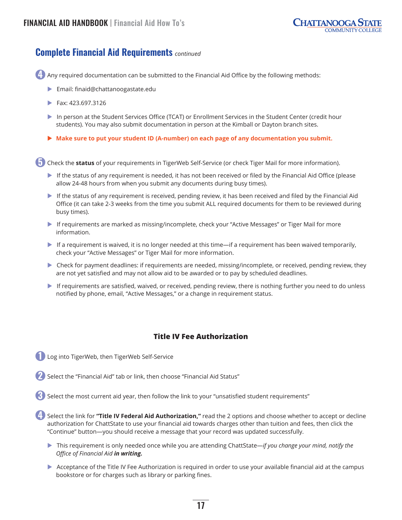## **Complete Financial Aid Requirements** *continued*

**4** Any required documentation can be submitted to the Financial Aid Office by the following methods:

- X Email: [finaid@chattanoogastate.edu](mailto:finaid%40chattanoogastate.edu?subject=)
- $\blacktriangleright$  Fax: 423.697.3126
- In person at the Student Services Office (TCAT) or Enrollment Services in the Student Center (credit hour students). You may also submit documentation in person at the Kimball or Dayton branch sites.
- ▶ Make sure to put your student ID (A-number) on each page of any documentation you submit.

**4** Check the **status** of your requirements in TigerWeb Self-Service (or check Tiger Mail for more information).

- If the status of any requirement is needed, it has not been received or filed by the Financial Aid Office (please allow 24-48 hours from when you submit any documents during busy times).
- If the status of any requirement is received, pending review, it has been received and filed by the Financial Aid Office (it can take 2-3 weeks from the time you submit ALL required documents for them to be reviewed during busy times).
- If requirements are marked as missing/incomplete, check your "Active Messages" or Tiger Mail for more information.
- $\blacktriangleright$  If a requirement is waived, it is no longer needed at this time—if a requirement has been waived temporarily, check your "Active Messages" or Tiger Mail for more information.
- $\triangleright$  Check for payment deadlines: if requirements are needed, missing/incomplete, or received, pending review, they are not yet satisfied and may not allow aid to be awarded or to pay by scheduled deadlines.
- $\blacktriangleright$  If requirements are satisfied, waived, or received, pending review, there is nothing further you need to do unless notified by phone, email, "Active Messages," or a change in requirement status.

#### **Title IV Fee Authorization**

- **1** Log into TigerWeb, then TigerWeb Self-Service
- **2** Select the "Financial Aid" tab or link, then choose "Financial Aid Status"
- **3** Select the most current aid year, then follow the link to your "unsatisfied student requirements"

**4** Select the link for **"Title IV Federal Aid Authorization,"** read the 2 options and choose whether to accept or decline authorization for ChattState to use your financial aid towards charges other than tuition and fees, then click the "Continue" button—you should receive a message that your record was updated successfully.

- ▶ This requirement is only needed once while you are attending ChattState—*if you change your mind, notify the Office of Financial Aid in writing.*
- Acceptance of the Title IV Fee Authorization is required in order to use your available financial aid at the campus bookstore or for charges such as library or parking fines.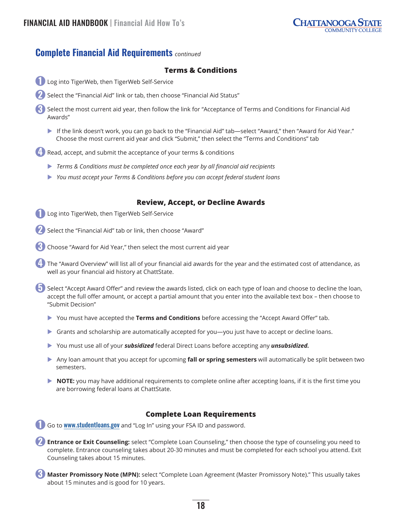### **Complete Financial Aid Requirements** *continued*

#### **Terms & Conditions**

- **1** Log into TigerWeb, then TigerWeb Self-Service
- **2** Select the "Financial Aid" link or tab, then choose "Financial Aid Status"
- **3** Select the most current aid year, then follow the link for "Acceptance of Terms and Conditions for Financial Aid Awards"
	- If the link doesn't work, you can go back to the "Financial Aid" tab—select "Award," then "Award for Aid Year." Choose the most current aid year and click "Submit," then select the "Terms and Conditions" tab

**4** Read, accept, and submit the acceptance of your terms & conditions

- X *Terms & Conditions must be completed once each year by all financial aid recipients*
- X *You must accept your Terms & Conditions before you can accept federal student loans*

#### **Review, Accept, or Decline Awards**

- **1** Log into TigerWeb, then TigerWeb Self-Service
- **2** Select the "Financial Aid" tab or link, then choose "Award"
- **3** Choose "Award for Aid Year," then select the most current aid year
- **4** The "Award Overview" will list all of your financial aid awards for the year and the estimated cost of attendance, as well as your financial aid history at ChattState.
- **5** Select "Accept Award Offer" and review the awards listed, click on each type of loan and choose to decline the loan, accept the full offer amount, or accept a partial amount that you enter into the available text box – then choose to "Submit Decision"
	- You must have accepted the **Terms and Conditions** before accessing the "Accept Award Offer" tab.
	- $\triangleright$  Grants and scholarship are automatically accepted for you—you just have to accept or decline loans.
	- X You must use all of your *subsidized* federal Direct Loans before accepting any *unsubsidized.*
	- X Any loan amount that you accept for upcoming **fall or spring semesters** will automatically be split between two semesters.
	- **NOTE:** you may have additional requirements to complete online after accepting loans, if it is the first time you are borrowing federal loans at ChattState.

#### **Complete Loan Requirements**

**1** Go to [www.studentloans.gov](http://www.studentloans.gov) and "Log In" using your FSA ID and password.

**2 Entrance or Exit Counseling:** select "Complete Loan Counseling," then choose the type of counseling you need to complete. Entrance counseling takes about 20-30 minutes and must be completed for each school you attend. Exit Counseling takes about 15 minutes.

**3 Master Promissory Note (MPN):** select "Complete Loan Agreement (Master Promissory Note)." This usually takes about 15 minutes and is good for 10 years.